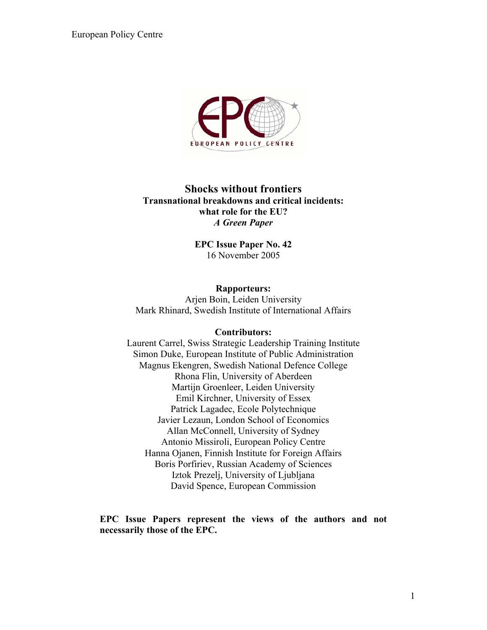

### **Shocks without frontiers Transnational breakdowns and critical incidents: what role for the EU?**  *A Green Paper*

**EPC Issue Paper No. 42**  16 November 2005

# **Rapporteurs:**

Arjen Boin, Leiden University Mark Rhinard, Swedish Institute of International Affairs

#### **Contributors:**

Laurent Carrel, Swiss Strategic Leadership Training Institute Simon Duke, European Institute of Public Administration Magnus Ekengren, Swedish National Defence College Rhona Flin, University of Aberdeen Martijn Groenleer, Leiden University Emil Kirchner, University of Essex Patrick Lagadec, Ecole Polytechnique Javier Lezaun, London School of Economics Allan McConnell, University of Sydney Antonio Missiroli, European Policy Centre Hanna Ojanen, Finnish Institute for Foreign Affairs Boris Porfiriev, Russian Academy of Sciences Iztok Prezelj, University of Ljubljana David Spence, European Commission

#### **EPC Issue Papers represent the views of the authors and not necessarily those of the EPC.**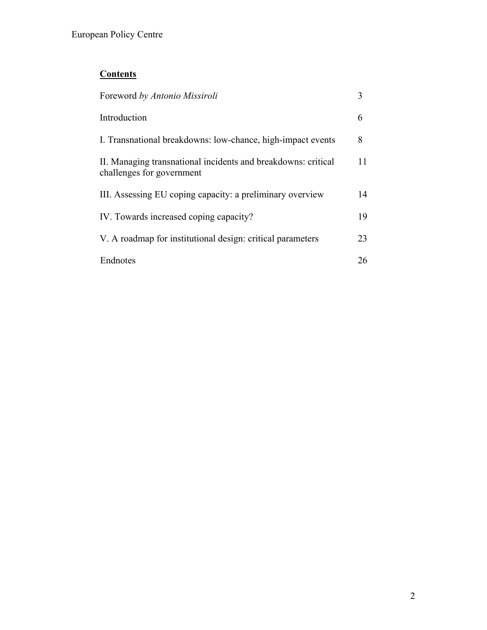# **Contents**

| Foreword by Antonio Missiroli                                                              |    |
|--------------------------------------------------------------------------------------------|----|
| Introduction                                                                               | 6  |
| I. Transnational breakdowns: low-chance, high-impact events                                | 8  |
| II. Managing transnational incidents and breakdowns: critical<br>challenges for government | 11 |
| III. Assessing EU coping capacity: a preliminary overview                                  | 14 |
| IV. Towards increased coping capacity?                                                     | 19 |
| V. A roadmap for institutional design: critical parameters                                 | 23 |
| Endnotes                                                                                   | 26 |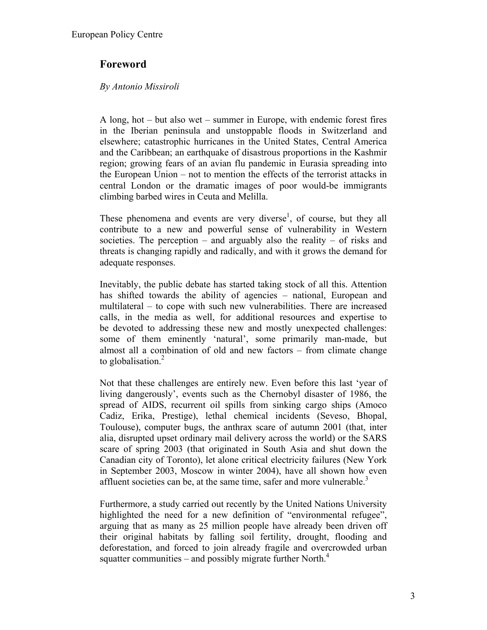# **Foreword**

### *By Antonio Missiroli*

A long, hot – but also wet – summer in Europe, with endemic forest fires in the Iberian peninsula and unstoppable floods in Switzerland and elsewhere; catastrophic hurricanes in the United States, Central America and the Caribbean; an earthquake of disastrous proportions in the Kashmir region; growing fears of an avian flu pandemic in Eurasia spreading into the European Union – not to mention the effects of the terrorist attacks in central London or the dramatic images of poor would-be immigrants climbing barbed wires in Ceuta and Melilla.

These phenomena and events are very diverse<sup>1</sup>, of course, but they all contribute to a new and powerful sense of vulnerability in Western societies. The perception – and arguably also the reality – of risks and threats is changing rapidly and radically, and with it grows the demand for adequate responses.

Inevitably, the public debate has started taking stock of all this. Attention has shifted towards the ability of agencies – national, European and multilateral – to cope with such new vulnerabilities. There are increased calls, in the media as well, for additional resources and expertise to be devoted to addressing these new and mostly unexpected challenges: some of them eminently 'natural', some primarily man-made, but almost all a combination of old and new factors – from climate change to globalisation.<sup>[2](#page-25-1)</sup>

Not that these challenges are entirely new. Even before this last 'year of living dangerously', events such as the Chernobyl disaster of 1986, the spread of AIDS, recurrent oil spills from sinking cargo ships (Amoco Cadiz, Erika, Prestige), lethal chemical incidents (Seveso, Bhopal, Toulouse), computer bugs, the anthrax scare of autumn 2001 (that, inter alia, disrupted upset ordinary mail delivery across the world) or the SARS scare of spring 2003 (that originated in South Asia and shut down the Canadian city of Toronto), let alone critical electricity failures (New York in September 2003, Moscow in winter 2004), have all shown how even affluent societies can be, at the same time, safer and more vulnerable.<sup>3</sup>

Furthermore, a study carried out recently by the United Nations University highlighted the need for a new definition of "environmental refugee", arguing that as many as 25 million people have already been driven off their original habitats by falling soil fertility, drought, flooding and deforestation, and forced to join already fragile and overcrowded urban squatter communities – and possibly migrate further North. $4$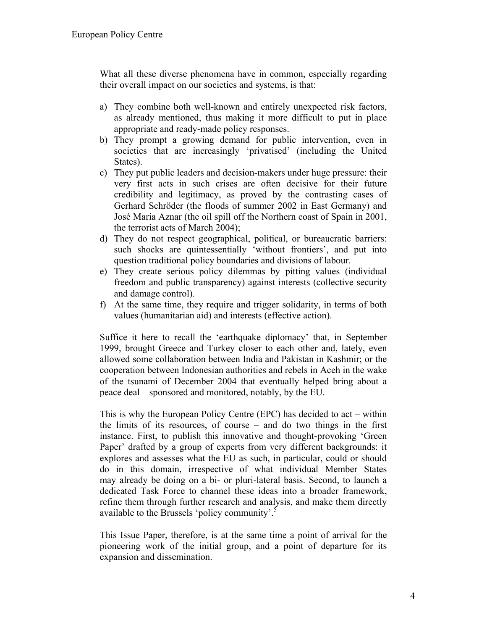What all these diverse phenomena have in common, especially regarding their overall impact on our societies and systems, is that:

- a) They combine both well-known and entirely unexpected risk factors, as already mentioned, thus making it more difficult to put in place appropriate and ready-made policy responses.
- b) They prompt a growing demand for public intervention, even in societies that are increasingly 'privatised' (including the United States).
- c) They put public leaders and decision-makers under huge pressure: their very first acts in such crises are often decisive for their future credibility and legitimacy, as proved by the contrasting cases of Gerhard Schröder (the floods of summer 2002 in East Germany) and José Maria Aznar (the oil spill off the Northern coast of Spain in 2001, the terrorist acts of March 2004);
- d) They do not respect geographical, political, or bureaucratic barriers: such shocks are quintessentially 'without frontiers', and put into question traditional policy boundaries and divisions of labour.
- e) They create serious policy dilemmas by pitting values (individual freedom and public transparency) against interests (collective security and damage control).
- f) At the same time, they require and trigger solidarity, in terms of both values (humanitarian aid) and interests (effective action).

Suffice it here to recall the 'earthquake diplomacy' that, in September 1999, brought Greece and Turkey closer to each other and, lately, even allowed some collaboration between India and Pakistan in Kashmir; or the cooperation between Indonesian authorities and rebels in Aceh in the wake of the tsunami of December 2004 that eventually helped bring about a peace deal – sponsored and monitored, notably, by the EU.

This is why the European Policy Centre (EPC) has decided to act – within the limits of its resources, of course – and do two things in the first instance. First, to publish this innovative and thought-provoking 'Green Paper' drafted by a group of experts from very different backgrounds: it explores and assesses what the EU as such, in particular, could or should do in this domain, irrespective of what individual Member States may already be doing on a bi- or pluri-lateral basis. Second, to launch a dedicated Task Force to channel these ideas into a broader framework, refine them through further research and analysis, and make them directly available to the Brussels 'policy community'.<sup>5</sup>

This Issue Paper, therefore, is at the same time a point of arrival for the pioneering work of the initial group, and a point of departure for its expansion and dissemination.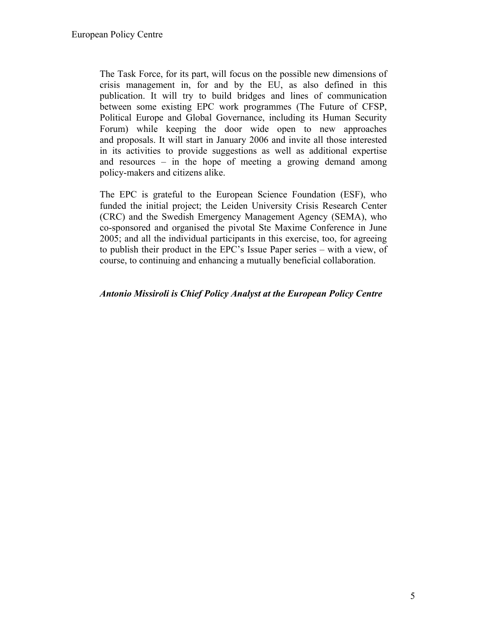The Task Force, for its part, will focus on the possible new dimensions of crisis management in, for and by the EU, as also defined in this publication. It will try to build bridges and lines of communication between some existing EPC work programmes (The Future of CFSP, Political Europe and Global Governance, including its Human Security Forum) while keeping the door wide open to new approaches and proposals. It will start in January 2006 and invite all those interested in its activities to provide suggestions as well as additional expertise and resources – in the hope of meeting a growing demand among policy-makers and citizens alike.

The EPC is grateful to the European Science Foundation (ESF), who funded the initial project; the Leiden University Crisis Research Center (CRC) and the Swedish Emergency Management Agency (SEMA), who co-sponsored and organised the pivotal Ste Maxime Conference in June 2005; and all the individual participants in this exercise, too, for agreeing to publish their product in the EPC's Issue Paper series – with a view, of course, to continuing and enhancing a mutually beneficial collaboration.

#### *Antonio Missiroli is Chief Policy Analyst at the European Policy Centre*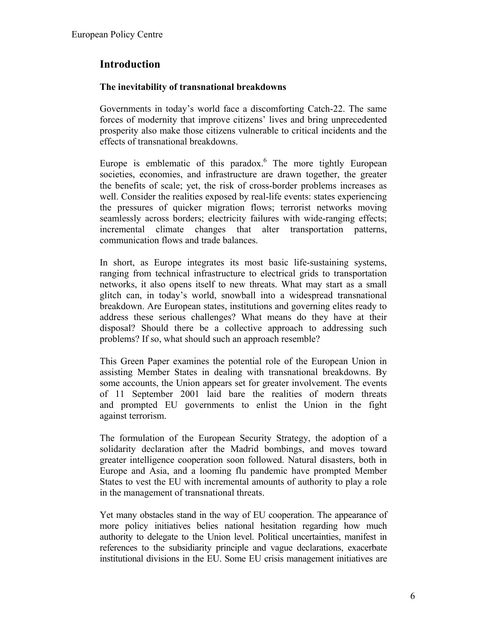# **Introduction**

### **The inevitability of transnational breakdowns**

Governments in today's world face a discomforting Catch-22. The same forces of modernity that improve citizens' lives and bring unprecedented prosperity also make those citizens vulnerable to critical incidents and the effects of transnational breakdowns.

Europe is emblematic of this paradox. $6$  The more tightly European societies, economies, and infrastructure are drawn together, the greater the benefits of scale; yet, the risk of cross-border problems increases as well. Consider the realities exposed by real-life events: states experiencing the pressures of quicker migration flows; terrorist networks moving seamlessly across borders; electricity failures with wide-ranging effects; incremental climate changes that alter transportation patterns, communication flows and trade balances.

In short, as Europe integrates its most basic life-sustaining systems, ranging from technical infrastructure to electrical grids to transportation networks, it also opens itself to new threats. What may start as a small glitch can, in today's world, snowball into a widespread transnational breakdown. Are European states, institutions and governing elites ready to address these serious challenges? What means do they have at their disposal? Should there be a collective approach to addressing such problems? If so, what should such an approach resemble?

This Green Paper examines the potential role of the European Union in assisting Member States in dealing with transnational breakdowns. By some accounts, the Union appears set for greater involvement. The events of 11 September 2001 laid bare the realities of modern threats and prompted EU governments to enlist the Union in the fight against terrorism.

The formulation of the European Security Strategy, the adoption of a solidarity declaration after the Madrid bombings, and moves toward greater intelligence cooperation soon followed. Natural disasters, both in Europe and Asia, and a looming flu pandemic have prompted Member States to vest the EU with incremental amounts of authority to play a role in the management of transnational threats.

Yet many obstacles stand in the way of EU cooperation. The appearance of more policy initiatives belies national hesitation regarding how much authority to delegate to the Union level. Political uncertainties, manifest in references to the subsidiarity principle and vague declarations, exacerbate institutional divisions in the EU. Some EU crisis management initiatives are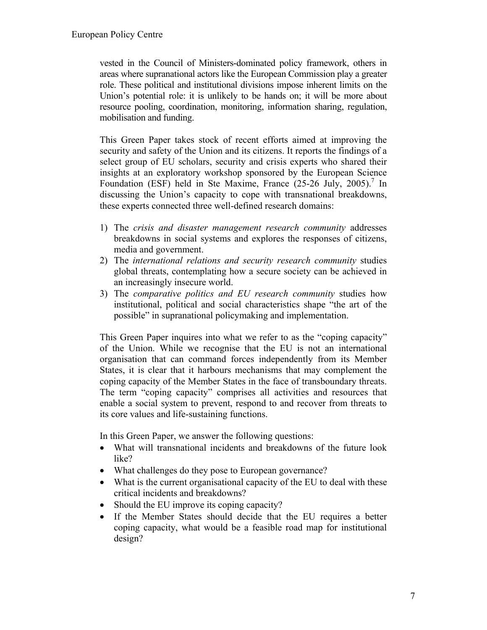vested in the Council of Ministers-dominated policy framework, others in areas where supranational actors like the European Commission play a greater role. These political and institutional divisions impose inherent limits on the Union's potential role: it is unlikely to be hands on; it will be more about resource pooling, coordination, monitoring, information sharing, regulation, mobilisation and funding.

This Green Paper takes stock of recent efforts aimed at improving the security and safety of the Union and its citizens. It reports the findings of a select group of EU scholars, security and crisis experts who shared their insights at an exploratory workshop sponsored by the European Science Foundation (ESF) held in Ste Maxime, France  $(25-26 \text{ July}, 2005)$ .<sup>[7](#page-25-6)</sup> In discussing the Union's capacity to cope with transnational breakdowns, these experts connected three well-defined research domains:

- 1) The *crisis and disaster management research community* addresses breakdowns in social systems and explores the responses of citizens, media and government.
- 2) The *international relations and security research community* studies global threats, contemplating how a secure society can be achieved in an increasingly insecure world.
- 3) The *comparative politics and EU research community* studies how institutional, political and social characteristics shape "the art of the possible" in supranational policymaking and implementation.

This Green Paper inquires into what we refer to as the "coping capacity" of the Union. While we recognise that the EU is not an international organisation that can command forces independently from its Member States, it is clear that it harbours mechanisms that may complement the coping capacity of the Member States in the face of transboundary threats. The term "coping capacity" comprises all activities and resources that enable a social system to prevent, respond to and recover from threats to its core values and life-sustaining functions.

In this Green Paper, we answer the following questions:

- What will transnational incidents and breakdowns of the future look like?
- What challenges do they pose to European governance?
- What is the current organisational capacity of the EU to deal with these critical incidents and breakdowns?
- Should the EU improve its coping capacity?
- If the Member States should decide that the EU requires a better coping capacity, what would be a feasible road map for institutional design?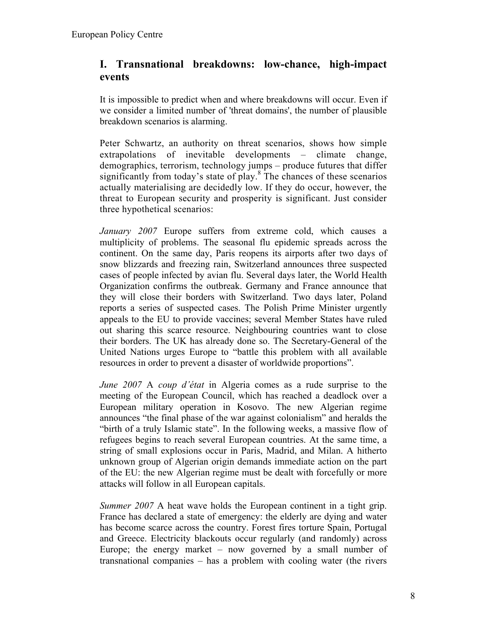# **I. Transnational breakdowns: low-chance, high-impact events**

It is impossible to predict when and where breakdowns will occur. Even if we consider a limited number of 'threat domains', the number of plausible breakdown scenarios is alarming.

Peter Schwartz, an authority on threat scenarios, shows how simple extrapolations of inevitable developments – climate change, demographics, terrorism, technology jumps – produce futures that differ significantly from today's state of play. $8$  The chances of these scenarios actually materialising are decidedly low. If they do occur, however, the threat to European security and prosperity is significant. Just consider three hypothetical scenarios:

*January 2007* Europe suffers from extreme cold, which causes a multiplicity of problems. The seasonal flu epidemic spreads across the continent. On the same day, Paris reopens its airports after two days of snow blizzards and freezing rain, Switzerland announces three suspected cases of people infected by avian flu. Several days later, the World Health Organization confirms the outbreak. Germany and France announce that they will close their borders with Switzerland. Two days later, Poland reports a series of suspected cases. The Polish Prime Minister urgently appeals to the EU to provide vaccines; several Member States have ruled out sharing this scarce resource. Neighbouring countries want to close their borders. The UK has already done so. The Secretary-General of the United Nations urges Europe to "battle this problem with all available resources in order to prevent a disaster of worldwide proportions".

*June 2007* A *coup d'état* in Algeria comes as a rude surprise to the meeting of the European Council, which has reached a deadlock over a European military operation in Kosovo. The new Algerian regime announces "the final phase of the war against colonialism" and heralds the "birth of a truly Islamic state". In the following weeks, a massive flow of refugees begins to reach several European countries. At the same time, a string of small explosions occur in Paris, Madrid, and Milan. A hitherto unknown group of Algerian origin demands immediate action on the part of the EU: the new Algerian regime must be dealt with forcefully or more attacks will follow in all European capitals.

*Summer 2007* A heat wave holds the European continent in a tight grip. France has declared a state of emergency: the elderly are dying and water has become scarce across the country. Forest fires torture Spain, Portugal and Greece. Electricity blackouts occur regularly (and randomly) across Europe; the energy market – now governed by a small number of transnational companies – has a problem with cooling water (the rivers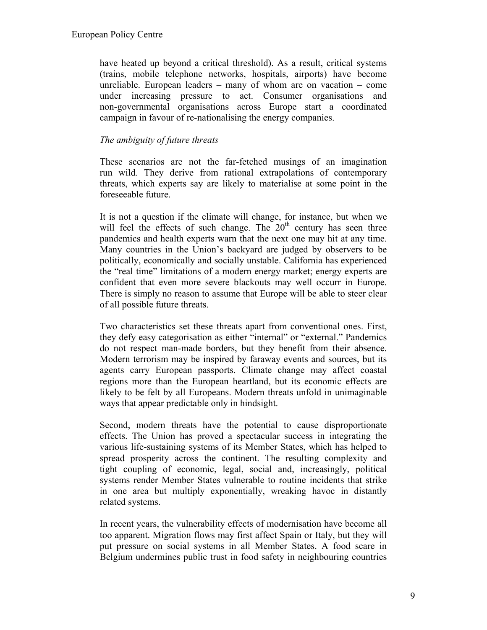have heated up beyond a critical threshold). As a result, critical systems (trains, mobile telephone networks, hospitals, airports) have become unreliable. European leaders – many of whom are on vacation – come under increasing pressure to act. Consumer organisations and non-governmental organisations across Europe start a coordinated campaign in favour of re-nationalising the energy companies.

### *The ambiguity of future threats*

These scenarios are not the far-fetched musings of an imagination run wild. They derive from rational extrapolations of contemporary threats, which experts say are likely to materialise at some point in the foreseeable future.

It is not a question if the climate will change, for instance, but when we will feel the effects of such change. The  $20<sup>th</sup>$  century has seen three pandemics and health experts warn that the next one may hit at any time. Many countries in the Union's backyard are judged by observers to be politically, economically and socially unstable. California has experienced the "real time" limitations of a modern energy market; energy experts are confident that even more severe blackouts may well occurr in Europe. There is simply no reason to assume that Europe will be able to steer clear of all possible future threats.

Two characteristics set these threats apart from conventional ones. First, they defy easy categorisation as either "internal" or "external." Pandemics do not respect man-made borders, but they benefit from their absence. Modern terrorism may be inspired by faraway events and sources, but its agents carry European passports. Climate change may affect coastal regions more than the European heartland, but its economic effects are likely to be felt by all Europeans. Modern threats unfold in unimaginable ways that appear predictable only in hindsight.

Second, modern threats have the potential to cause disproportionate effects. The Union has proved a spectacular success in integrating the various life-sustaining systems of its Member States, which has helped to spread prosperity across the continent. The resulting complexity and tight coupling of economic, legal, social and, increasingly, political systems render Member States vulnerable to routine incidents that strike in one area but multiply exponentially, wreaking havoc in distantly related systems.

In recent years, the vulnerability effects of modernisation have become all too apparent. Migration flows may first affect Spain or Italy, but they will put pressure on social systems in all Member States. A food scare in Belgium undermines public trust in food safety in neighbouring countries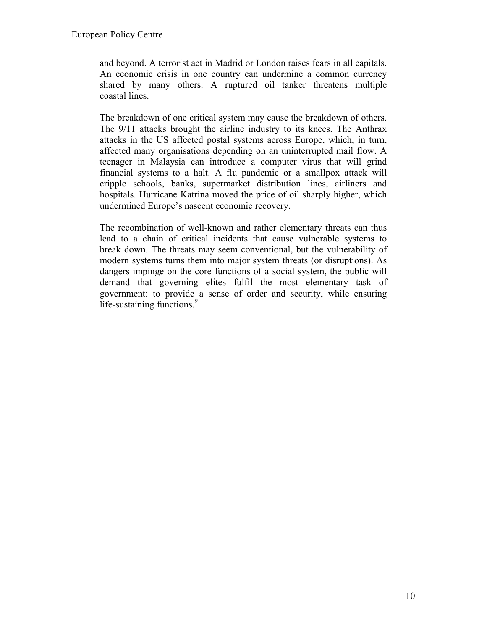and beyond. A terrorist act in Madrid or London raises fears in all capitals. An economic crisis in one country can undermine a common currency shared by many others. A ruptured oil tanker threatens multiple coastal lines.

The breakdown of one critical system may cause the breakdown of others. The 9/11 attacks brought the airline industry to its knees. The Anthrax attacks in the US affected postal systems across Europe, which, in turn, affected many organisations depending on an uninterrupted mail flow. A teenager in Malaysia can introduce a computer virus that will grind financial systems to a halt. A flu pandemic or a smallpox attack will cripple schools, banks, supermarket distribution lines, airliners and hospitals. Hurricane Katrina moved the price of oil sharply higher, which undermined Europe's nascent economic recovery.

The recombination of well-known and rather elementary threats can thus lead to a chain of critical incidents that cause vulnerable systems to break down. The threats may seem conventional, but the vulnerability of modern systems turns them into major system threats (or disruptions). As dangers impinge on the core functions of a social system, the public will demand that governing elites fulfil the most elementary task of government: to provide a sense of order and security, while ensuring life-sustaining functions.<sup>[9](#page-25-8)</sup>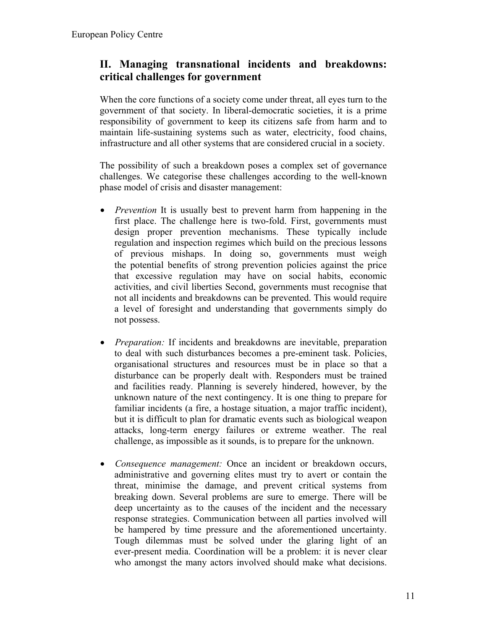# **II. Managing transnational incidents and breakdowns: critical challenges for government**

When the core functions of a society come under threat, all eyes turn to the government of that society. In liberal-democratic societies, it is a prime responsibility of government to keep its citizens safe from harm and to maintain life-sustaining systems such as water, electricity, food chains, infrastructure and all other systems that are considered crucial in a society.

The possibility of such a breakdown poses a complex set of governance challenges. We categorise these challenges according to the well-known phase model of crisis and disaster management:

- *Prevention* It is usually best to prevent harm from happening in the first place. The challenge here is two-fold. First, governments must design proper prevention mechanisms. These typically include regulation and inspection regimes which build on the precious lessons of previous mishaps. In doing so, governments must weigh the potential benefits of strong prevention policies against the price that excessive regulation may have on social habits, economic activities, and civil liberties Second, governments must recognise that not all incidents and breakdowns can be prevented. This would require a level of foresight and understanding that governments simply do not possess.
- *Preparation:* If incidents and breakdowns are inevitable, preparation to deal with such disturbances becomes a pre-eminent task. Policies, organisational structures and resources must be in place so that a disturbance can be properly dealt with. Responders must be trained and facilities ready. Planning is severely hindered, however, by the unknown nature of the next contingency. It is one thing to prepare for familiar incidents (a fire, a hostage situation, a major traffic incident), but it is difficult to plan for dramatic events such as biological weapon attacks, long-term energy failures or extreme weather. The real challenge, as impossible as it sounds, is to prepare for the unknown.
- *Consequence management:* Once an incident or breakdown occurs, administrative and governing elites must try to avert or contain the threat, minimise the damage, and prevent critical systems from breaking down. Several problems are sure to emerge. There will be deep uncertainty as to the causes of the incident and the necessary response strategies. Communication between all parties involved will be hampered by time pressure and the aforementioned uncertainty. Tough dilemmas must be solved under the glaring light of an ever-present media. Coordination will be a problem: it is never clear who amongst the many actors involved should make what decisions.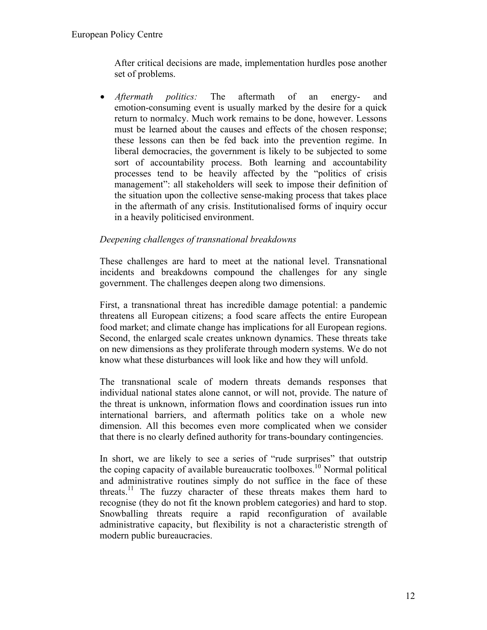After critical decisions are made, implementation hurdles pose another set of problems.

• *Aftermath politics:* The aftermath of an energy- and emotion-consuming event is usually marked by the desire for a quick return to normalcy. Much work remains to be done, however. Lessons must be learned about the causes and effects of the chosen response; these lessons can then be fed back into the prevention regime. In liberal democracies, the government is likely to be subjected to some sort of accountability process. Both learning and accountability processes tend to be heavily affected by the "politics of crisis management": all stakeholders will seek to impose their definition of the situation upon the collective sense-making process that takes place in the aftermath of any crisis. Institutionalised forms of inquiry occur in a heavily politicised environment.

#### *Deepening challenges of transnational breakdowns*

These challenges are hard to meet at the national level. Transnational incidents and breakdowns compound the challenges for any single government. The challenges deepen along two dimensions.

First, a transnational threat has incredible damage potential: a pandemic threatens all European citizens; a food scare affects the entire European food market; and climate change has implications for all European regions. Second, the enlarged scale creates unknown dynamics. These threats take on new dimensions as they proliferate through modern systems. We do not know what these disturbances will look like and how they will unfold.

The transnational scale of modern threats demands responses that individual national states alone cannot, or will not, provide. The nature of the threat is unknown, information flows and coordination issues run into international barriers, and aftermath politics take on a whole new dimension. All this becomes even more complicated when we consider that there is no clearly defined authority for trans-boundary contingencies.

In short, we are likely to see a series of "rude surprises" that outstrip the coping capacity of available bureaucratic toolboxes.<sup>10</sup> Normal political and administrative routines simply do not suffice in the face of these threats.[11](#page-25-10) The fuzzy character of these threats makes them hard to recognise (they do not fit the known problem categories) and hard to stop. Snowballing threats require a rapid reconfiguration of available administrative capacity, but flexibility is not a characteristic strength of modern public bureaucracies.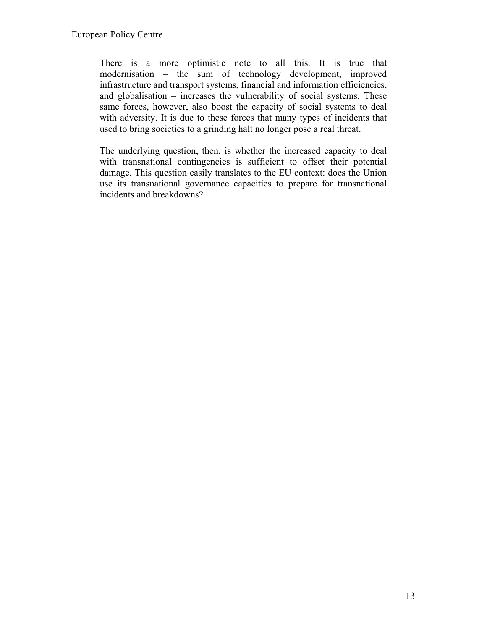There is a more optimistic note to all this. It is true that modernisation – the sum of technology development, improved infrastructure and transport systems, financial and information efficiencies, and globalisation – increases the vulnerability of social systems. These same forces, however, also boost the capacity of social systems to deal with adversity. It is due to these forces that many types of incidents that used to bring societies to a grinding halt no longer pose a real threat.

The underlying question, then, is whether the increased capacity to deal with transnational contingencies is sufficient to offset their potential damage. This question easily translates to the EU context: does the Union use its transnational governance capacities to prepare for transnational incidents and breakdowns?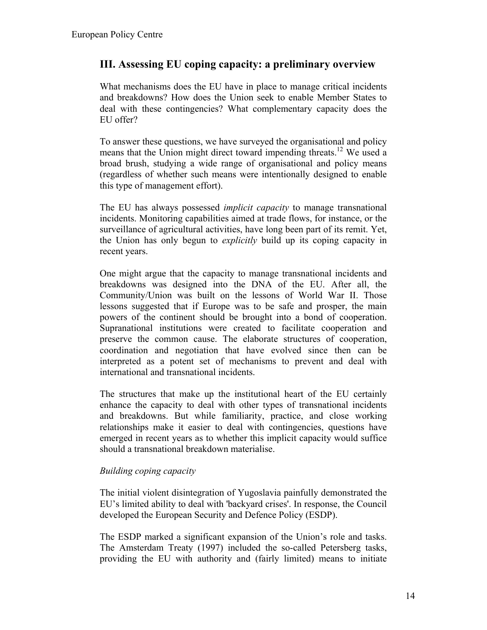### **III. Assessing EU coping capacity: a preliminary overview**

What mechanisms does the EU have in place to manage critical incidents and breakdowns? How does the Union seek to enable Member States to deal with these contingencies? What complementary capacity does the EU offer?

To answer these questions, we have surveyed the organisational and policy means that the Union might direct toward impending threats.<sup>12</sup> We used a broad brush, studying a wide range of organisational and policy means (regardless of whether such means were intentionally designed to enable this type of management effort).

The EU has always possessed *implicit capacity* to manage transnational incidents. Monitoring capabilities aimed at trade flows, for instance, or the surveillance of agricultural activities, have long been part of its remit. Yet, the Union has only begun to *explicitly* build up its coping capacity in recent years.

One might argue that the capacity to manage transnational incidents and breakdowns was designed into the DNA of the EU. After all, the Community/Union was built on the lessons of World War II. Those lessons suggested that if Europe was to be safe and prosper, the main powers of the continent should be brought into a bond of cooperation. Supranational institutions were created to facilitate cooperation and preserve the common cause. The elaborate structures of cooperation, coordination and negotiation that have evolved since then can be interpreted as a potent set of mechanisms to prevent and deal with international and transnational incidents.

The structures that make up the institutional heart of the EU certainly enhance the capacity to deal with other types of transnational incidents and breakdowns. But while familiarity, practice, and close working relationships make it easier to deal with contingencies, questions have emerged in recent years as to whether this implicit capacity would suffice should a transnational breakdown materialise.

#### *Building coping capacity*

The initial violent disintegration of Yugoslavia painfully demonstrated the EU's limited ability to deal with 'backyard crises'. In response, the Council developed the European Security and Defence Policy (ESDP).

The ESDP marked a significant expansion of the Union's role and tasks. The Amsterdam Treaty (1997) included the so-called Petersberg tasks, providing the EU with authority and (fairly limited) means to initiate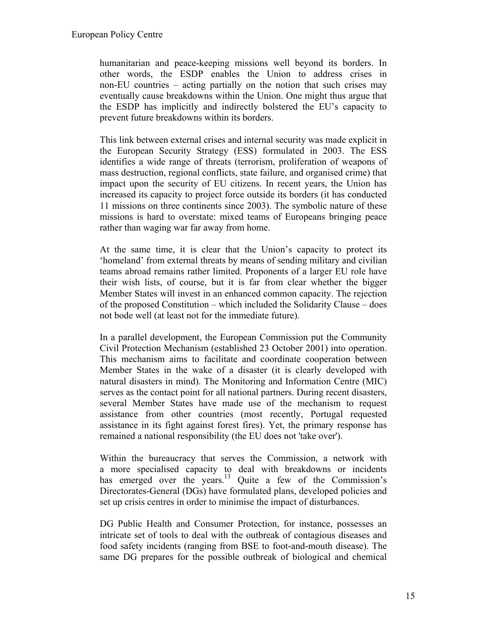humanitarian and peace-keeping missions well beyond its borders. In other words, the ESDP enables the Union to address crises in non-EU countries – acting partially on the notion that such crises may eventually cause breakdowns within the Union. One might thus argue that the ESDP has implicitly and indirectly bolstered the EU's capacity to prevent future breakdowns within its borders.

This link between external crises and internal security was made explicit in the European Security Strategy (ESS) formulated in 2003. The ESS identifies a wide range of threats (terrorism, proliferation of weapons of mass destruction, regional conflicts, state failure, and organised crime) that impact upon the security of EU citizens. In recent years, the Union has increased its capacity to project force outside its borders (it has conducted 11 missions on three continents since 2003). The symbolic nature of these missions is hard to overstate: mixed teams of Europeans bringing peace rather than waging war far away from home.

At the same time, it is clear that the Union's capacity to protect its 'homeland' from external threats by means of sending military and civilian teams abroad remains rather limited. Proponents of a larger EU role have their wish lists, of course, but it is far from clear whether the bigger Member States will invest in an enhanced common capacity. The rejection of the proposed Constitution – which included the Solidarity Clause – does not bode well (at least not for the immediate future).

In a parallel development, the European Commission put the Community Civil Protection Mechanism (established 23 October 2001) into operation. This mechanism aims to facilitate and coordinate cooperation between Member States in the wake of a disaster (it is clearly developed with natural disasters in mind). The Monitoring and Information Centre (MIC) serves as the contact point for all national partners. During recent disasters, several Member States have made use of the mechanism to request assistance from other countries (most recently, Portugal requested assistance in its fight against forest fires). Yet, the primary response has remained a national responsibility (the EU does not 'take over').

Within the bureaucracy that serves the Commission, a network with a more specialised capacity to deal with breakdowns or incidents has emerged over the years.<sup>13</sup> Quite a few of the Commission's Directorates-General (DGs) have formulated plans, developed policies and set up crisis centres in order to minimise the impact of disturbances.

DG Public Health and Consumer Protection, for instance, possesses an intricate set of tools to deal with the outbreak of contagious diseases and food safety incidents (ranging from BSE to foot-and-mouth disease). The same DG prepares for the possible outbreak of biological and chemical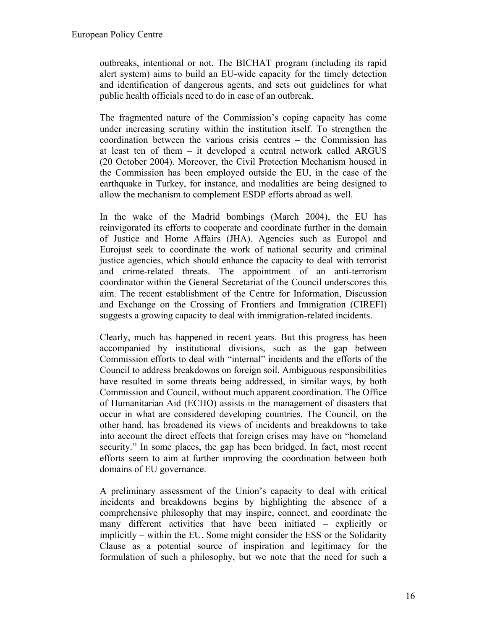outbreaks, intentional or not. The BICHAT program (including its rapid alert system) aims to build an EU-wide capacity for the timely detection and identification of dangerous agents, and sets out guidelines for what public health officials need to do in case of an outbreak.

The fragmented nature of the Commission's coping capacity has come under increasing scrutiny within the institution itself. To strengthen the coordination between the various crisis centres – the Commission has at least ten of them – it developed a central network called ARGUS (20 October 2004). Moreover, the Civil Protection Mechanism housed in the Commission has been employed outside the EU, in the case of the earthquake in Turkey, for instance, and modalities are being designed to allow the mechanism to complement ESDP efforts abroad as well.

In the wake of the Madrid bombings (March 2004), the EU has reinvigorated its efforts to cooperate and coordinate further in the domain of Justice and Home Affairs (JHA). Agencies such as Europol and Eurojust seek to coordinate the work of national security and criminal justice agencies, which should enhance the capacity to deal with terrorist and crime-related threats. The appointment of an anti-terrorism coordinator within the General Secretariat of the Council underscores this aim. The recent establishment of the Centre for Information, Discussion and Exchange on the Crossing of Frontiers and Immigration (CIREFI) suggests a growing capacity to deal with immigration-related incidents.

Clearly, much has happened in recent years. But this progress has been accompanied by institutional divisions, such as the gap between Commission efforts to deal with "internal" incidents and the efforts of the Council to address breakdowns on foreign soil. Ambiguous responsibilities have resulted in some threats being addressed, in similar ways, by both Commission and Council, without much apparent coordination. The Office of Humanitarian Aid (ECHO) assists in the management of disasters that occur in what are considered developing countries. The Council, on the other hand, has broadened its views of incidents and breakdowns to take into account the direct effects that foreign crises may have on "homeland security." In some places, the gap has been bridged. In fact, most recent efforts seem to aim at further improving the coordination between both domains of EU governance.

A preliminary assessment of the Union's capacity to deal with critical incidents and breakdowns begins by highlighting the absence of a comprehensive philosophy that may inspire, connect, and coordinate the many different activities that have been initiated – explicitly or implicitly – within the EU. Some might consider the ESS or the Solidarity Clause as a potential source of inspiration and legitimacy for the formulation of such a philosophy, but we note that the need for such a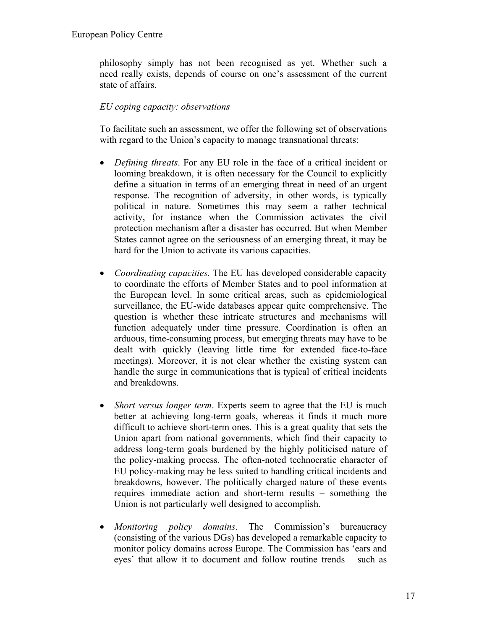philosophy simply has not been recognised as yet. Whether such a need really exists, depends of course on one's assessment of the current state of affairs.

### *EU coping capacity: observations*

To facilitate such an assessment, we offer the following set of observations with regard to the Union's capacity to manage transnational threats:

- *Defining threats*. For any EU role in the face of a critical incident or looming breakdown, it is often necessary for the Council to explicitly define a situation in terms of an emerging threat in need of an urgent response. The recognition of adversity, in other words, is typically political in nature. Sometimes this may seem a rather technical activity, for instance when the Commission activates the civil protection mechanism after a disaster has occurred. But when Member States cannot agree on the seriousness of an emerging threat, it may be hard for the Union to activate its various capacities.
- *Coordinating capacities.* The EU has developed considerable capacity to coordinate the efforts of Member States and to pool information at the European level. In some critical areas, such as epidemiological surveillance, the EU-wide databases appear quite comprehensive. The question is whether these intricate structures and mechanisms will function adequately under time pressure. Coordination is often an arduous, time-consuming process, but emerging threats may have to be dealt with quickly (leaving little time for extended face-to-face meetings). Moreover, it is not clear whether the existing system can handle the surge in communications that is typical of critical incidents and breakdowns.
- *Short versus longer term.* Experts seem to agree that the EU is much better at achieving long-term goals, whereas it finds it much more difficult to achieve short-term ones. This is a great quality that sets the Union apart from national governments, which find their capacity to address long-term goals burdened by the highly politicised nature of the policy-making process. The often-noted technocratic character of EU policy-making may be less suited to handling critical incidents and breakdowns, however. The politically charged nature of these events requires immediate action and short-term results – something the Union is not particularly well designed to accomplish.
- *Monitoring policy domains*. The Commission's bureaucracy (consisting of the various DGs) has developed a remarkable capacity to monitor policy domains across Europe. The Commission has 'ears and eyes' that allow it to document and follow routine trends – such as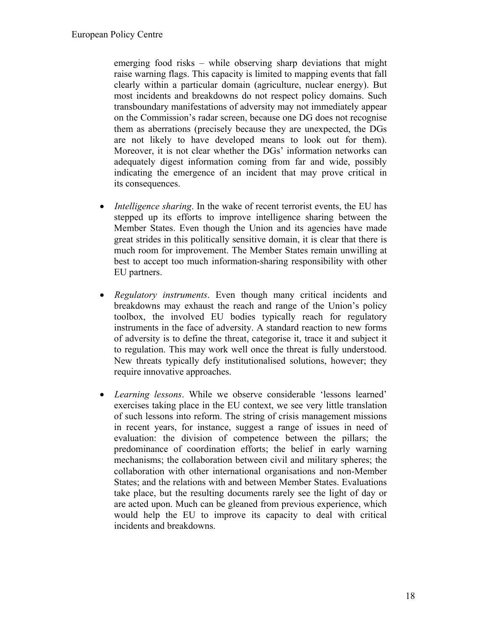emerging food risks – while observing sharp deviations that might raise warning flags. This capacity is limited to mapping events that fall clearly within a particular domain (agriculture, nuclear energy). But most incidents and breakdowns do not respect policy domains. Such transboundary manifestations of adversity may not immediately appear on the Commission's radar screen, because one DG does not recognise them as aberrations (precisely because they are unexpected, the DGs are not likely to have developed means to look out for them). Moreover, it is not clear whether the DGs' information networks can adequately digest information coming from far and wide, possibly indicating the emergence of an incident that may prove critical in its consequences.

- *Intelligence sharing*. In the wake of recent terrorist events, the EU has stepped up its efforts to improve intelligence sharing between the Member States. Even though the Union and its agencies have made great strides in this politically sensitive domain, it is clear that there is much room for improvement. The Member States remain unwilling at best to accept too much information-sharing responsibility with other EU partners.
- *Regulatory instruments*. Even though many critical incidents and breakdowns may exhaust the reach and range of the Union's policy toolbox, the involved EU bodies typically reach for regulatory instruments in the face of adversity. A standard reaction to new forms of adversity is to define the threat, categorise it, trace it and subject it to regulation. This may work well once the threat is fully understood. New threats typically defy institutionalised solutions, however; they require innovative approaches.
- *Learning lessons*. While we observe considerable 'lessons learned' exercises taking place in the EU context, we see very little translation of such lessons into reform. The string of crisis management missions in recent years, for instance, suggest a range of issues in need of evaluation: the division of competence between the pillars; the predominance of coordination efforts; the belief in early warning mechanisms; the collaboration between civil and military spheres; the collaboration with other international organisations and non-Member States; and the relations with and between Member States. Evaluations take place, but the resulting documents rarely see the light of day or are acted upon. Much can be gleaned from previous experience, which would help the EU to improve its capacity to deal with critical incidents and breakdowns.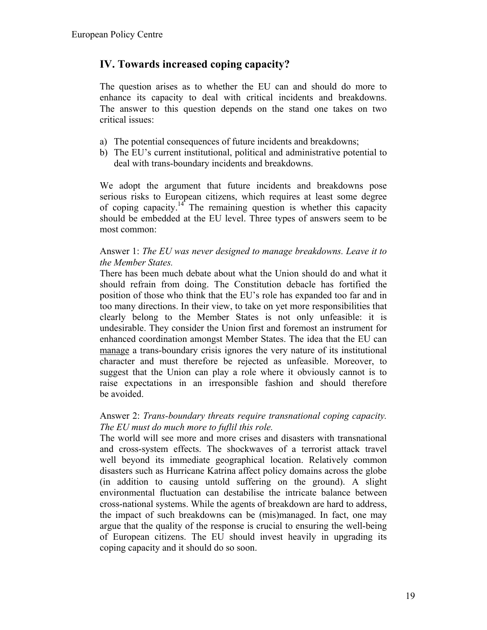### **IV. Towards increased coping capacity?**

The question arises as to whether the EU can and should do more to enhance its capacity to deal with critical incidents and breakdowns. The answer to this question depends on the stand one takes on two critical issues:

- a) The potential consequences of future incidents and breakdowns;
- b) The EU's current institutional, political and administrative potential to deal with trans-boundary incidents and breakdowns.

We adopt the argument that future incidents and breakdowns pose serious risks to European citizens, which requires at least some degree of coping capacity.<sup>14</sup> The remaining question is whether this capacity should be embedded at the EU level. Three types of answers seem to be most common:

#### Answer 1: *The EU was never designed to manage breakdowns. Leave it to the Member States.*

There has been much debate about what the Union should do and what it should refrain from doing. The Constitution debacle has fortified the position of those who think that the EU's role has expanded too far and in too many directions. In their view, to take on yet more responsibilities that clearly belong to the Member States is not only unfeasible: it is undesirable. They consider the Union first and foremost an instrument for enhanced coordination amongst Member States. The idea that the EU can manage a trans-boundary crisis ignores the very nature of its institutional character and must therefore be rejected as unfeasible. Moreover, to suggest that the Union can play a role where it obviously cannot is to raise expectations in an irresponsible fashion and should therefore be avoided.

#### Answer 2: *Trans-boundary threats require transnational coping capacity. The EU must do much more to fuflil this role.*

The world will see more and more crises and disasters with transnational and cross-system effects. The shockwaves of a terrorist attack travel well beyond its immediate geographical location. Relatively common disasters such as Hurricane Katrina affect policy domains across the globe (in addition to causing untold suffering on the ground). A slight environmental fluctuation can destabilise the intricate balance between cross-national systems. While the agents of breakdown are hard to address, the impact of such breakdowns can be (mis)managed. In fact, one may argue that the quality of the response is crucial to ensuring the well-being of European citizens. The EU should invest heavily in upgrading its coping capacity and it should do so soon.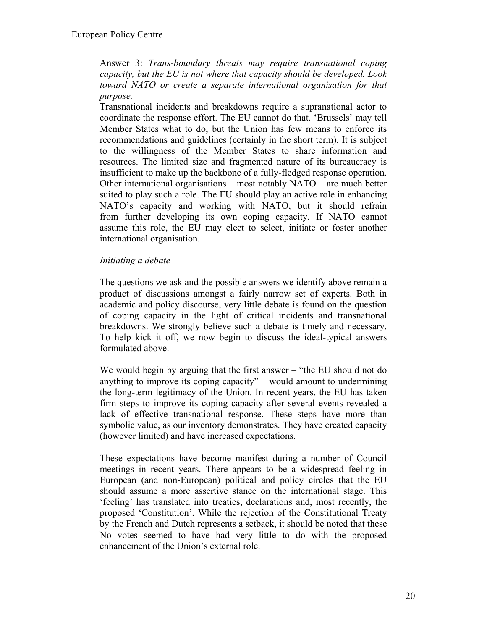Answer 3: *Trans-boundary threats may require transnational coping capacity, but the EU is not where that capacity should be developed. Look toward NATO or create a separate international organisation for that purpose.*

Transnational incidents and breakdowns require a supranational actor to coordinate the response effort. The EU cannot do that. 'Brussels' may tell Member States what to do, but the Union has few means to enforce its recommendations and guidelines (certainly in the short term). It is subject to the willingness of the Member States to share information and resources. The limited size and fragmented nature of its bureaucracy is insufficient to make up the backbone of a fully-fledged response operation. Other international organisations – most notably NATO – are much better suited to play such a role. The EU should play an active role in enhancing NATO's capacity and working with NATO, but it should refrain from further developing its own coping capacity. If NATO cannot assume this role, the EU may elect to select, initiate or foster another international organisation.

#### *Initiating a debate*

The questions we ask and the possible answers we identify above remain a product of discussions amongst a fairly narrow set of experts. Both in academic and policy discourse, very little debate is found on the question of coping capacity in the light of critical incidents and transnational breakdowns. We strongly believe such a debate is timely and necessary. To help kick it off, we now begin to discuss the ideal-typical answers formulated above.

We would begin by arguing that the first answer – "the EU should not do anything to improve its coping capacity" – would amount to undermining the long-term legitimacy of the Union. In recent years, the EU has taken firm steps to improve its coping capacity after several events revealed a lack of effective transnational response. These steps have more than symbolic value, as our inventory demonstrates. They have created capacity (however limited) and have increased expectations.

These expectations have become manifest during a number of Council meetings in recent years. There appears to be a widespread feeling in European (and non-European) political and policy circles that the EU should assume a more assertive stance on the international stage. This 'feeling' has translated into treaties, declarations and, most recently, the proposed 'Constitution'. While the rejection of the Constitutional Treaty by the French and Dutch represents a setback, it should be noted that these No votes seemed to have had very little to do with the proposed enhancement of the Union's external role.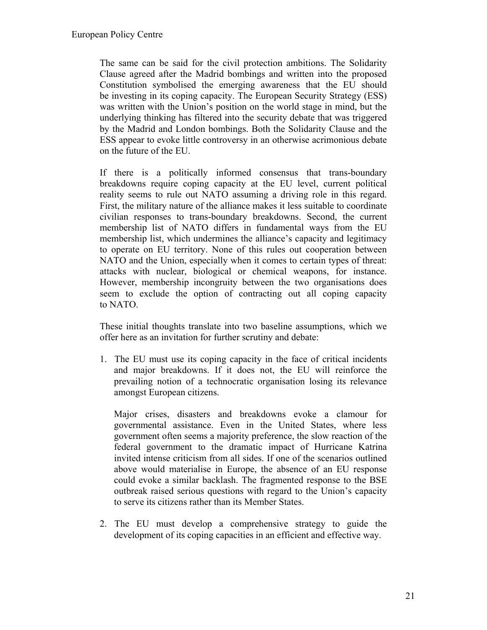The same can be said for the civil protection ambitions. The Solidarity Clause agreed after the Madrid bombings and written into the proposed Constitution symbolised the emerging awareness that the EU should be investing in its coping capacity. The European Security Strategy (ESS) was written with the Union's position on the world stage in mind, but the underlying thinking has filtered into the security debate that was triggered by the Madrid and London bombings. Both the Solidarity Clause and the ESS appear to evoke little controversy in an otherwise acrimonious debate on the future of the EU.

If there is a politically informed consensus that trans-boundary breakdowns require coping capacity at the EU level, current political reality seems to rule out NATO assuming a driving role in this regard. First, the military nature of the alliance makes it less suitable to coordinate civilian responses to trans-boundary breakdowns. Second, the current membership list of NATO differs in fundamental ways from the EU membership list, which undermines the alliance's capacity and legitimacy to operate on EU territory. None of this rules out cooperation between NATO and the Union, especially when it comes to certain types of threat: attacks with nuclear, biological or chemical weapons, for instance. However, membership incongruity between the two organisations does seem to exclude the option of contracting out all coping capacity to NATO.

These initial thoughts translate into two baseline assumptions, which we offer here as an invitation for further scrutiny and debate:

1. The EU must use its coping capacity in the face of critical incidents and major breakdowns. If it does not, the EU will reinforce the prevailing notion of a technocratic organisation losing its relevance amongst European citizens.

Major crises, disasters and breakdowns evoke a clamour for governmental assistance. Even in the United States, where less government often seems a majority preference, the slow reaction of the federal government to the dramatic impact of Hurricane Katrina invited intense criticism from all sides. If one of the scenarios outlined above would materialise in Europe, the absence of an EU response could evoke a similar backlash. The fragmented response to the BSE outbreak raised serious questions with regard to the Union's capacity to serve its citizens rather than its Member States.

2. The EU must develop a comprehensive strategy to guide the development of its coping capacities in an efficient and effective way.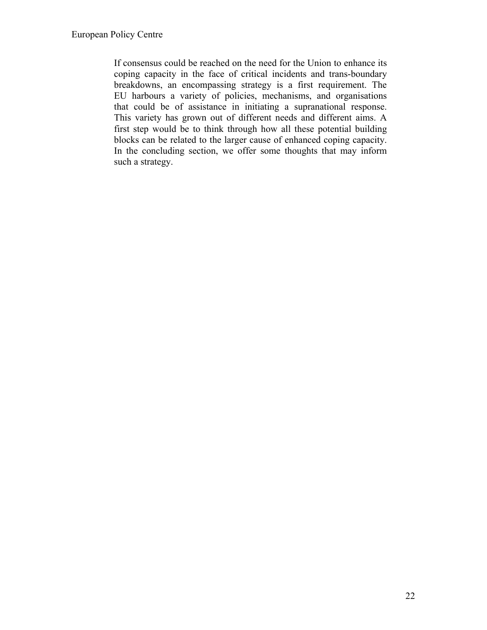If consensus could be reached on the need for the Union to enhance its coping capacity in the face of critical incidents and trans-boundary breakdowns, an encompassing strategy is a first requirement. The EU harbours a variety of policies, mechanisms, and organisations that could be of assistance in initiating a supranational response. This variety has grown out of different needs and different aims. A first step would be to think through how all these potential building blocks can be related to the larger cause of enhanced coping capacity. In the concluding section, we offer some thoughts that may inform such a strategy.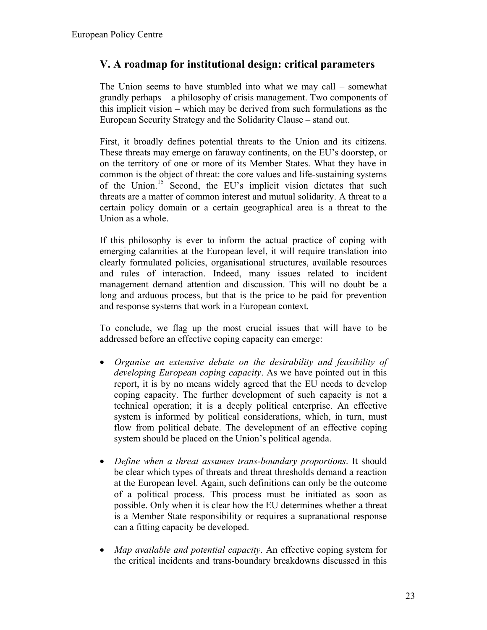### **V. A roadmap for institutional design: critical parameters**

The Union seems to have stumbled into what we may call – somewhat grandly perhaps – a philosophy of crisis management. Two components of this implicit vision – which may be derived from such formulations as the European Security Strategy and the Solidarity Clause – stand out.

First, it broadly defines potential threats to the Union and its citizens. These threats may emerge on faraway continents, on the EU's doorstep, or on the territory of one or more of its Member States. What they have in common is the object of threat: the core values and life-sustaining systems of the Union[.15](#page-25-14) Second, the EU's implicit vision dictates that such threats are a matter of common interest and mutual solidarity. A threat to a certain policy domain or a certain geographical area is a threat to the Union as a whole.

If this philosophy is ever to inform the actual practice of coping with emerging calamities at the European level, it will require translation into clearly formulated policies, organisational structures, available resources and rules of interaction. Indeed, many issues related to incident management demand attention and discussion. This will no doubt be a long and arduous process, but that is the price to be paid for prevention and response systems that work in a European context.

To conclude, we flag up the most crucial issues that will have to be addressed before an effective coping capacity can emerge:

- *Organise an extensive debate on the desirability and feasibility of developing European coping capacity*. As we have pointed out in this report, it is by no means widely agreed that the EU needs to develop coping capacity. The further development of such capacity is not a technical operation; it is a deeply political enterprise. An effective system is informed by political considerations, which, in turn, must flow from political debate. The development of an effective coping system should be placed on the Union's political agenda.
- *Define when a threat assumes trans-boundary proportions*. It should be clear which types of threats and threat thresholds demand a reaction at the European level. Again, such definitions can only be the outcome of a political process. This process must be initiated as soon as possible. Only when it is clear how the EU determines whether a threat is a Member State responsibility or requires a supranational response can a fitting capacity be developed.
- *Map available and potential capacity*. An effective coping system for the critical incidents and trans-boundary breakdowns discussed in this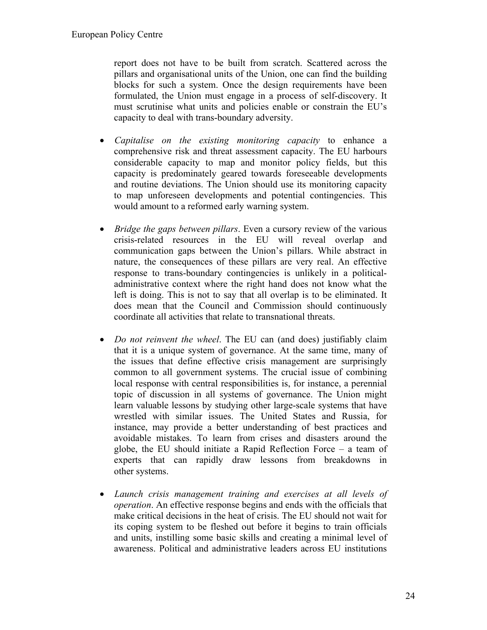report does not have to be built from scratch. Scattered across the pillars and organisational units of the Union, one can find the building blocks for such a system. Once the design requirements have been formulated, the Union must engage in a process of self-discovery. It must scrutinise what units and policies enable or constrain the EU's capacity to deal with trans-boundary adversity.

- *Capitalise on the existing monitoring capacity* to enhance a comprehensive risk and threat assessment capacity. The EU harbours considerable capacity to map and monitor policy fields, but this capacity is predominately geared towards foreseeable developments and routine deviations. The Union should use its monitoring capacity to map unforeseen developments and potential contingencies. This would amount to a reformed early warning system.
- *Bridge the gaps between pillars*. Even a cursory review of the various crisis-related resources in the EU will reveal overlap and communication gaps between the Union's pillars. While abstract in nature, the consequences of these pillars are very real. An effective response to trans-boundary contingencies is unlikely in a politicaladministrative context where the right hand does not know what the left is doing. This is not to say that all overlap is to be eliminated. It does mean that the Council and Commission should continuously coordinate all activities that relate to transnational threats.
- *Do not reinvent the wheel*. The EU can (and does) justifiably claim that it is a unique system of governance. At the same time, many of the issues that define effective crisis management are surprisingly common to all government systems. The crucial issue of combining local response with central responsibilities is, for instance, a perennial topic of discussion in all systems of governance. The Union might learn valuable lessons by studying other large-scale systems that have wrestled with similar issues. The United States and Russia, for instance, may provide a better understanding of best practices and avoidable mistakes. To learn from crises and disasters around the globe, the EU should initiate a Rapid Reflection Force – a team of experts that can rapidly draw lessons from breakdowns in other systems.
- *Launch crisis management training and exercises at all levels of operation*. An effective response begins and ends with the officials that make critical decisions in the heat of crisis. The EU should not wait for its coping system to be fleshed out before it begins to train officials and units, instilling some basic skills and creating a minimal level of awareness. Political and administrative leaders across EU institutions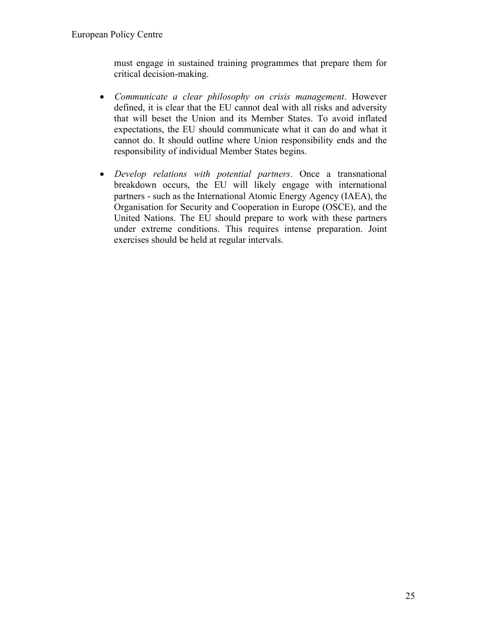must engage in sustained training programmes that prepare them for critical decision-making.

- *Communicate a clear philosophy on crisis management*. However defined, it is clear that the EU cannot deal with all risks and adversity that will beset the Union and its Member States. To avoid inflated expectations, the EU should communicate what it can do and what it cannot do. It should outline where Union responsibility ends and the responsibility of individual Member States begins.
- *Develop relations with potential partners*. Once a transnational breakdown occurs, the EU will likely engage with international partners - such as the International Atomic Energy Agency (IAEA), the Organisation for Security and Cooperation in Europe (OSCE), and the United Nations. The EU should prepare to work with these partners under extreme conditions. This requires intense preparation. Joint exercises should be held at regular intervals.